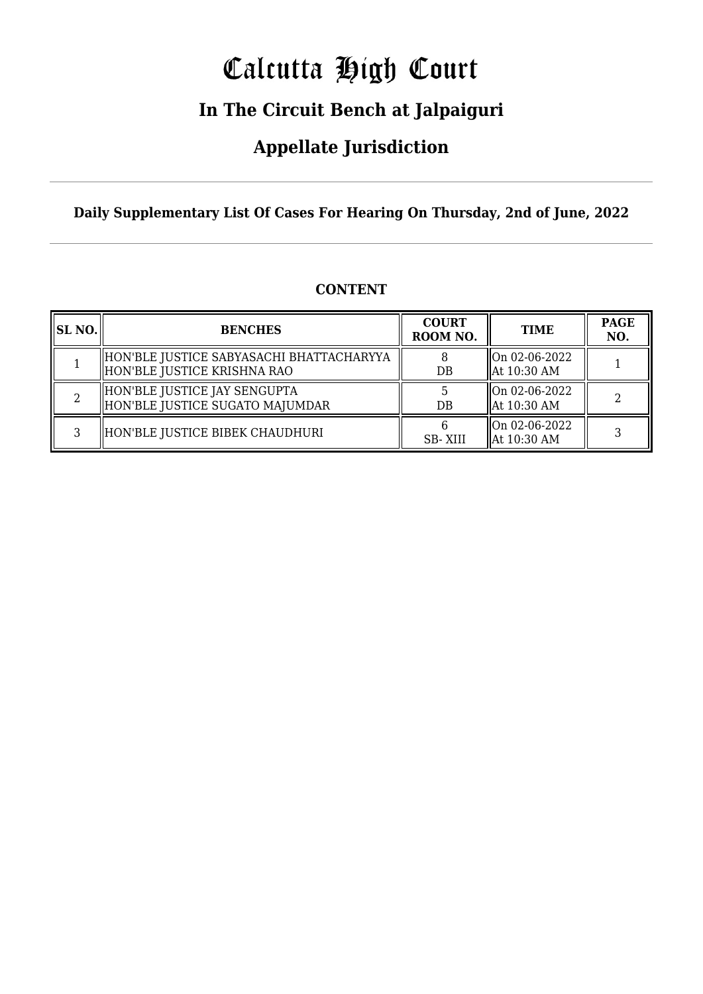# Calcutta High Court

## **In The Circuit Bench at Jalpaiguri**

## **Appellate Jurisdiction**

**Daily Supplementary List Of Cases For Hearing On Thursday, 2nd of June, 2022**

| <b>CONTENT</b> |
|----------------|
|                |

| SL NO. | <b>BENCHES</b>                                                            | <b>COURT</b><br>ROOM NO. | <b>TIME</b>                    | <b>PAGE</b><br>NO. |
|--------|---------------------------------------------------------------------------|--------------------------|--------------------------------|--------------------|
|        | HON'BLE JUSTICE SABYASACHI BHATTACHARYYA<br>  HON'BLE JUSTICE KRISHNA RAO | DB                       | On 02-06-2022<br>  At 10:30 AM |                    |
|        | HON'BLE JUSTICE JAY SENGUPTA<br>  HON'BLE JUSTICE SUGATO MAJUMDAR         | DB                       | On 02-06-2022<br>  At 10:30 AM |                    |
| 3      | HON'BLE JUSTICE BIBEK CHAUDHURI                                           | <b>SB-XIII</b>           | On 02-06-2022<br>  At 10:30 AM |                    |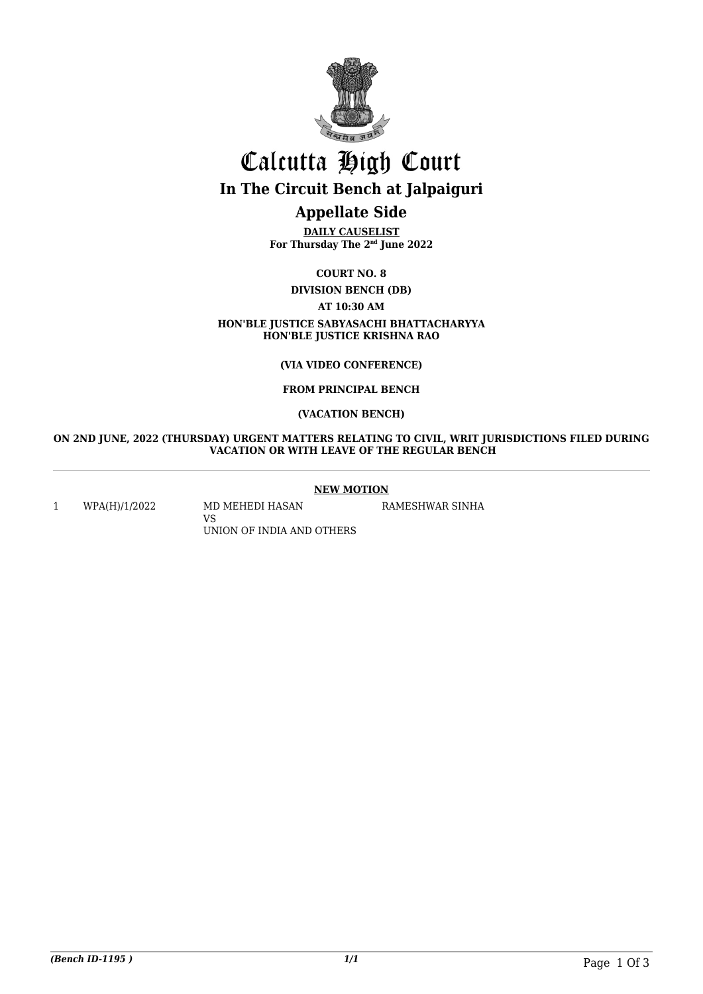

# Calcutta High Court **In The Circuit Bench at Jalpaiguri**

## **Appellate Side**

**DAILY CAUSELIST For Thursday The 2nd June 2022**

**COURT NO. 8**

**DIVISION BENCH (DB) AT 10:30 AM HON'BLE JUSTICE SABYASACHI BHATTACHARYYA HON'BLE JUSTICE KRISHNA RAO**

## **(VIA VIDEO CONFERENCE)**

## **FROM PRINCIPAL BENCH**

## **(VACATION BENCH)**

### **ON 2ND JUNE, 2022 (THURSDAY) URGENT MATTERS RELATING TO CIVIL, WRIT JURISDICTIONS FILED DURING VACATION OR WITH LEAVE OF THE REGULAR BENCH**

## **NEW MOTION**

1 WPA(H)/1/2022 MD MEHEDI HASAN

VS UNION OF INDIA AND OTHERS RAMESHWAR SINHA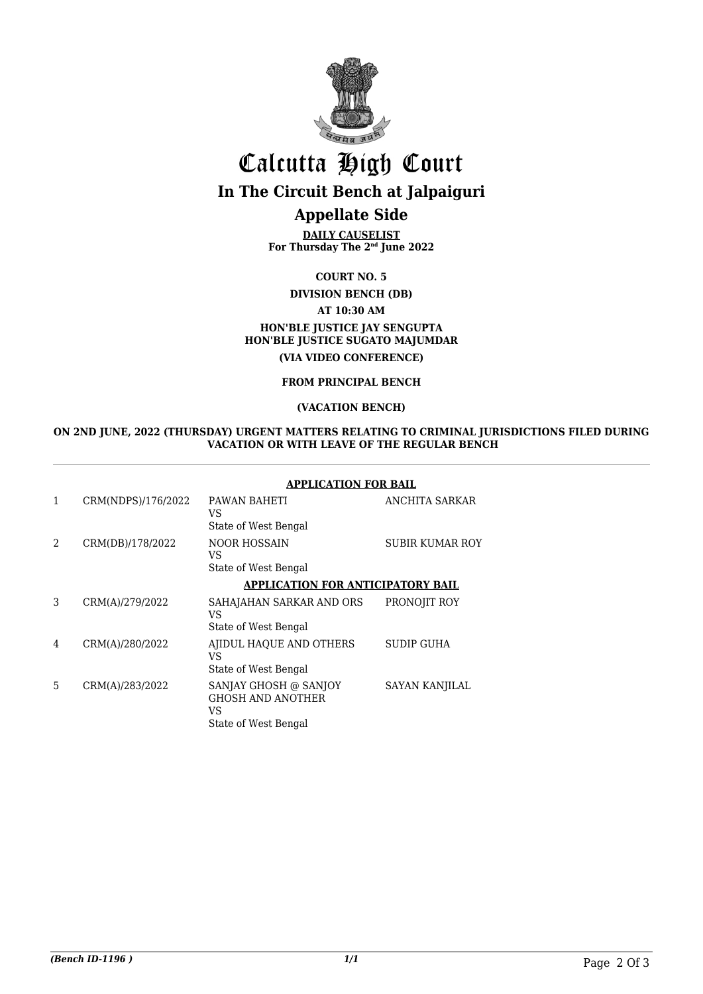

# Calcutta High Court **In The Circuit Bench at Jalpaiguri**

## **Appellate Side**

**DAILY CAUSELIST For Thursday The 2nd June 2022**

**COURT NO. 5 DIVISION BENCH (DB) AT 10:30 AM HON'BLE JUSTICE JAY SENGUPTA HON'BLE JUSTICE SUGATO MAJUMDAR (VIA VIDEO CONFERENCE)**

## **FROM PRINCIPAL BENCH**

## **(VACATION BENCH)**

#### **ON 2ND JUNE, 2022 (THURSDAY) URGENT MATTERS RELATING TO CRIMINAL JURISDICTIONS FILED DURING VACATION OR WITH LEAVE OF THE REGULAR BENCH**

|                    | APPLICATION FOR BAIL                                                            |                        |  |
|--------------------|---------------------------------------------------------------------------------|------------------------|--|
| CRM(NDPS)/176/2022 | PAWAN BAHETI<br>VS<br>State of West Bengal                                      | ANCHITA SARKAR         |  |
| CRM(DB)/178/2022   | NOOR HOSSAIN<br>VS<br>State of West Bengal                                      | <b>SUBIR KUMAR ROY</b> |  |
|                    | <b>APPLICATION FOR ANTICIPATORY BAIL</b>                                        |                        |  |
| CRM(A)/279/2022    | SAHAJAHAN SARKAR AND ORS<br>VS<br>State of West Bengal                          | PRONOJIT ROY           |  |
| CRM(A)/280/2022    | AJIDUL HAQUE AND OTHERS<br>VS<br>State of West Bengal                           | <b>SUDIP GUHA</b>      |  |
| CRM(A)/283/2022    | SANJAY GHOSH @ SANJOY<br><b>GHOSH AND ANOTHER</b><br>VS<br>State of West Bengal | SAYAN KANJILAL         |  |
|                    |                                                                                 |                        |  |

#### **APPLICATION FOR BAIL**